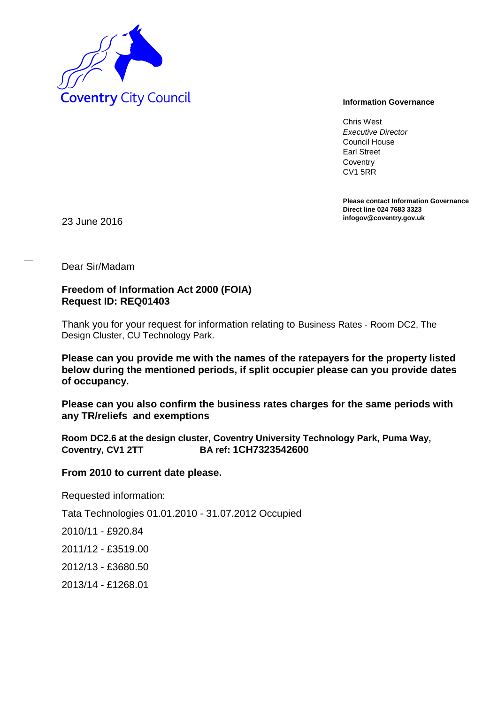

Chris West *Executive Director* Council House Earl Street **Coventry** CV1 5RR

**Please contact Information Governance Direct line 024 7683 3323**

**infogov@coventry.gov.uk** 23 June 2016

Dear Sir/Madam

## **Freedom of Information Act 2000 (FOIA) Request ID: REQ01403**

Thank you for your request for information relating to Business Rates - Room DC2, The Design Cluster, CU Technology Park.

**Please can you provide me with the names of the ratepayers for the property listed below during the mentioned periods, if split occupier please can you provide dates of occupancy.** 

**Please can you also confirm the business rates charges for the same periods with any TR/reliefs and exemptions** 

**Room DC2.6 at the design cluster, Coventry University Technology Park, Puma Way, Coventry, CV1 2TT BA ref: 1CH7323542600** 

## **From 2010 to current date please.**

Requested information:

Tata Technologies 01.01.2010 - 31.07.2012 Occupied

2010/11 - £920.84

- 2011/12 £3519.00
- 2012/13 £3680.50
- 2013/14 £1268.01